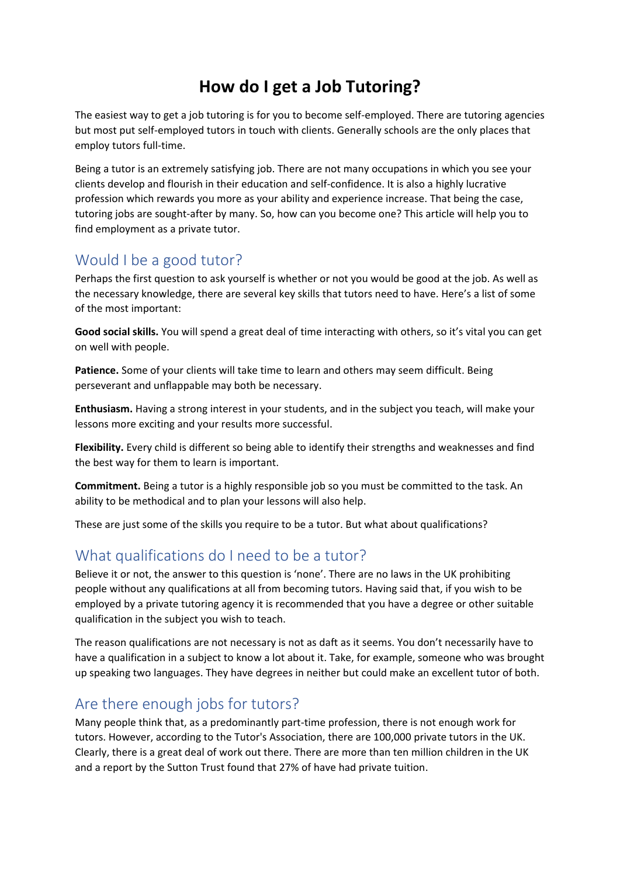# **How do I get a Job Tutoring?**

The easiest way to get a job tutoring is for you to become self-employed. There are tutoring agencies but most put self-employed tutors in touch with clients. Generally schools are the only places that employ tutors full-time.

Being a tutor is an extremely satisfying job. There are not many occupations in which you see your clients develop and flourish in their education and self-confidence. It is also a highly lucrative profession which rewards you more as your ability and experience increase. That being the case, tutoring jobs are sought-after by many. So, how can you become one? This article will help you to find employment as a private tutor.

## Would I be a good tutor?

Perhaps the first question to ask yourself is whether or not you would be good at the job. As well as the necessary knowledge, there are several key skills that tutors need to have. Here's a list of some of the most important:

**Good social skills.** You will spend a great deal of time interacting with others, so it's vital you can get on well with people.

**Patience.** Some of your clients will take time to learn and others may seem difficult. Being perseverant and unflappable may both be necessary.

**Enthusiasm.** Having a strong interest in your students, and in the subject you teach, will make your lessons more exciting and your results more successful.

**Flexibility.** Every child is different so being able to identify their strengths and weaknesses and find the best way for them to learn is important.

**Commitment.** Being a tutor is a highly responsible job so you must be committed to the task. An ability to be methodical and to plan your lessons will also help.

These are just some of the skills you require to be a tutor. But what about qualifications?

## What qualifications do I need to be a tutor?

Believe it or not, the answer to this question is 'none'. There are no laws in the UK prohibiting people without any qualifications at all from becoming tutors. Having said that, if you wish to be employed by a private tutoring agency it is recommended that you have a degree or other suitable qualification in the subject you wish to teach.

The reason qualifications are not necessary is not as daft as it seems. You don't necessarily have to have a qualification in a subject to know a lot about it. Take, for example, someone who was brought up speaking two languages. They have degrees in neither but could make an excellent tutor of both.

#### Are there enough jobs for tutors?

Many people think that, as a predominantly part-time profession, there is not enough work for tutors. However, according to the Tutor's Association, there are 100,000 private tutors in the UK. Clearly, there is a great deal of work out there. There are more than ten million children in the UK and a report by the Sutton Trust found that 27% of have had private tuition.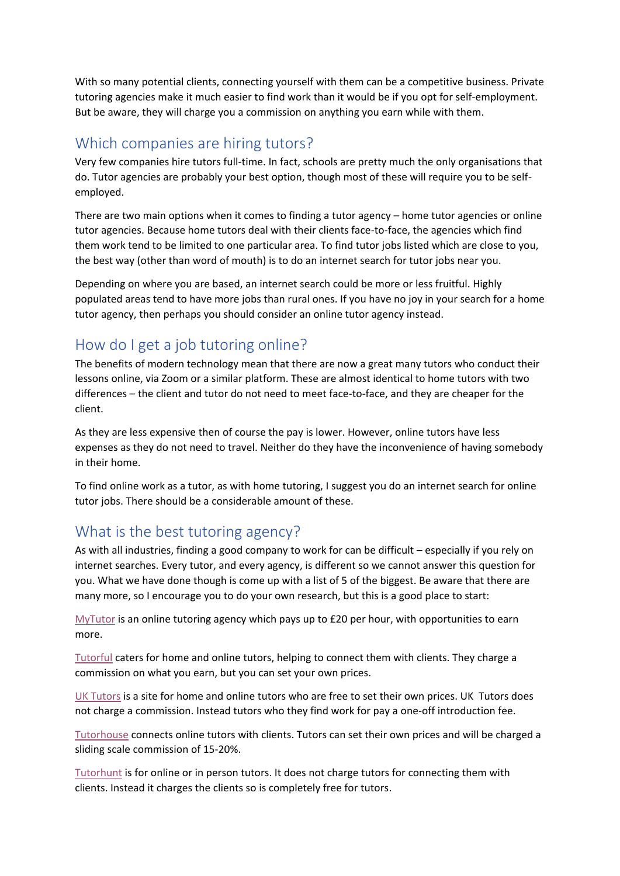With so many potential clients, connecting yourself with them can be a competitive business. Private tutoring agencies make it much easier to find work than it would be if you opt for self-employment. But be aware, they will charge you a commission on anything you earn while with them.

#### Which companies are hiring tutors?

Very few companies hire tutors full-time. In fact, schools are pretty much the only organisations that do. Tutor agencies are probably your best option, though most of these will require you to be selfemployed.

There are two main options when it comes to finding a tutor agency – home tutor agencies or online tutor agencies. Because home tutors deal with their clients face-to-face, the agencies which find them work tend to be limited to one particular area. To find tutor jobs listed which are close to you, the best way (other than word of mouth) is to do an internet search for tutor jobs near you.

Depending on where you are based, an internet search could be more or less fruitful. Highly populated areas tend to have more jobs than rural ones. If you have no joy in your search for a home tutor agency, then perhaps you should consider an online tutor agency instead.

## How do I get a job tutoring online?

The benefits of modern technology mean that there are now a great many tutors who conduct their lessons online, via Zoom or a similar platform. These are almost identical to home tutors with two differences – the client and tutor do not need to meet face-to-face, and they are cheaper for the client.

As they are less expensive then of course the pay is lower. However, online tutors have less expenses as they do not need to travel. Neither do they have the inconvenience of having somebody in their home.

To find online work as a tutor, as with home tutoring, I suggest you do an internet search for online tutor jobs. There should be a considerable amount of these.

#### What is the best tutoring agency?

As with all industries, finding a good company to work for can be difficult – especially if you rely on internet searches. Every tutor, and every agency, is different so we cannot answer this question for you. What we have done though is come up with a list of 5 of the biggest. Be aware that there are many more, so I encourage you to do your own research, but this is a good place to start:

[MyTutor](https://www.mytutor.co.uk/tutors/apply/) is an online tutoring agency which pays up to £20 per hour, with opportunities to earn more.

[Tutorful](https://tutorful.co.uk/become-a-tutor) caters for home and online tutors, helping to connect them with clients. They charge a commission on what you earn, but you can set your own prices.

[UK Tutors](https://www.uktutors.com/register/) is a site for home and online tutors who are free to set their own prices. UK Tutors does not charge a commission. Instead tutors who they find work for pay a one-off introduction fee.

[Tutorhouse](https://tutorhouse.co.uk/teach-with-us) connects online tutors with clients. Tutors can set their own prices and will be charged a sliding scale commission of 15-20%.

[Tutorhunt](https://www.tutorhunt.com/) is for online or in person tutors. It does not charge tutors for connecting them with clients. Instead it charges the clients so is completely free for tutors.